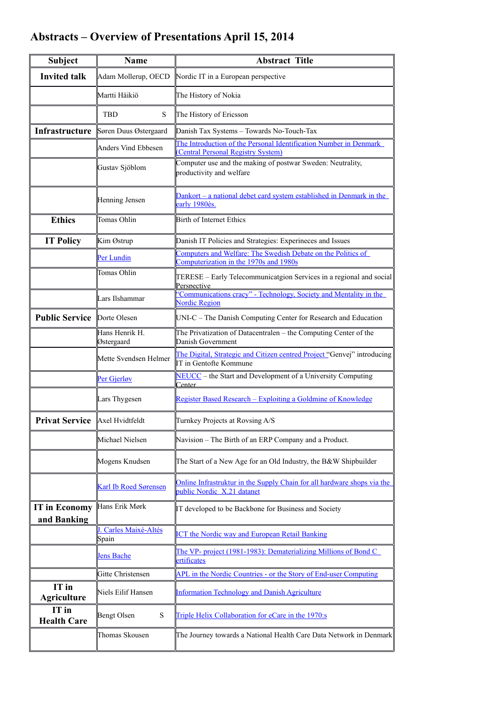## **Abstracts – Overview of Presentations April 15, 2014**

| <b>Subject</b>                      | <b>Name</b>                  | <b>Abstract Title</b>                                                                                   |
|-------------------------------------|------------------------------|---------------------------------------------------------------------------------------------------------|
| <b>Invited talk</b>                 | Adam Mollerup, OECD          | Nordic IT in a European perspective                                                                     |
|                                     | Martti Häikiö                | The History of Nokia                                                                                    |
|                                     | S<br><b>TBD</b>              | The History of Ericsson                                                                                 |
| Infrastructure                      | Søren Duus Østergaard        | Danish Tax Systems - Towards No-Touch-Tax                                                               |
|                                     | Anders Vind Ebbesen          | The Introduction of the Personal Identification Number in Denmark<br>(Central Personal Registry System) |
|                                     | Gustav Sjöblom               | Computer use and the making of postwar Sweden: Neutrality,<br>productivity and welfare                  |
|                                     | Henning Jensen               | <u>Dankort – a national debet card system established in Denmark in the</u><br>early 1980ès.            |
| <b>Ethics</b>                       | Tomas Ohlin                  | Birth of Internet Ethics                                                                                |
| <b>IT Policy</b>                    | Kim Østrup                   | Danish IT Policies and Strategies: Experineces and Issues                                               |
|                                     | Per Lundin                   | Computers and Welfare: The Swedish Debate on the Politics of<br>Computerization in the 1970s and 1980s  |
|                                     | Tomas Ohlin                  | TERESE - Early Telecommunicatgion Services in a regional and social<br>Persnective                      |
|                                     | Lars Ilshammar               | "Communications cracy" - Technology, Society and Mentality in the<br><b>Nordic Region</b>               |
| <b>Public Service</b>               | Dorte Olesen                 | UNI-C - The Danish Computing Center for Research and Education                                          |
|                                     | Hans Henrik H.<br>Østergaard | The Privatization of Datacentralen - the Computing Center of the<br>Danish Government                   |
|                                     | Mette Svendsen Helmer        | The Digital, Strategic and Citizen centred Project "Genvej" introducing<br>IT in Gentofte Kommune       |
|                                     | Per Gjerløv                  | NEUCC - the Start and Development of a University Computing<br>Center                                   |
|                                     | Lars Thygesen                | Register Based Research - Exploiting a Goldmine of Knowledge                                            |
| Privat Service Axel Hvidtfeldt      |                              | Turnkey Projects at Rovsing A/S                                                                         |
|                                     | Michael Nielsen              | Navision – The Birth of an ERP Company and a Product.                                                   |
|                                     | Mogens Knudsen               | The Start of a New Age for an Old Industry, the B&W Shipbuilder                                         |
|                                     | <b>Karl Ib Roed Sørensen</b> | Online Infrastruktur in the Supply Chain for all hardware shops via the<br>public Nordic X.21 datanet   |
| <b>IT</b> in Economy<br>and Banking | Hans Erik Mørk               | IT developed to be Backbone for Business and Society                                                    |
|                                     | Carles Maixé-Altés<br>Spain  | <b>ICT the Nordic way and European Retail Banking</b>                                                   |
|                                     | <b>Jens Bache</b>            | The VP- project (1981-1983): Dematerializing Millions of Bond C<br>ertificates                          |
|                                     | Gitte Christensen            | APL in the Nordic Countries - or the Story of End-user Computing                                        |
| IT in<br><b>Agriculture</b>         | Niels Eilif Hansen           | <b>Information Technology and Danish Agriculture</b>                                                    |
| IT in<br><b>Health Care</b>         | Bengt Olsen<br>${\bf S}$     | Triple Helix Collaboration for eCare in the 1970:s                                                      |
|                                     | Thomas Skousen               | The Journey towards a National Health Care Data Network in Denmark                                      |